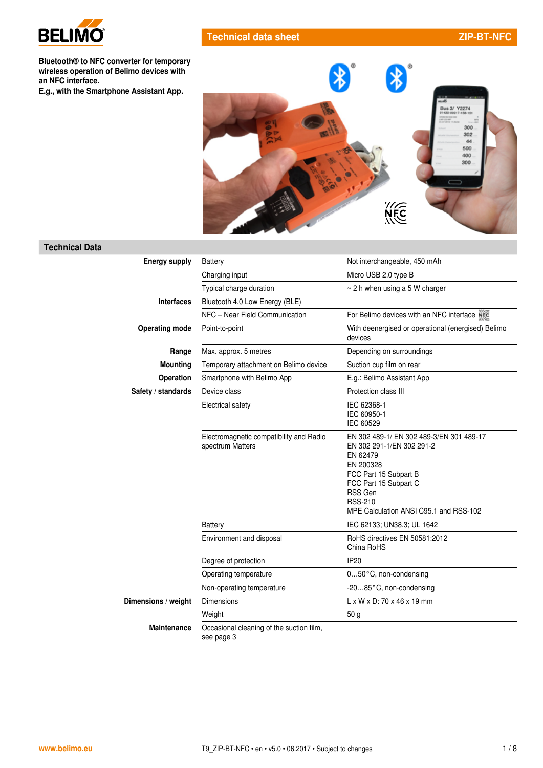

# **Technical data sheet ZIP-BT-NFC**

**Bluetooth® to NFC converter for temporary wireless operation of Belimo devices with an NFC interface.**

**E.g., with the Smartphone Assistant App.**



### **Technical Data**

| <b>Energy supply</b>  | <b>Battery</b>                                              | Not interchangeable, 450 mAh                                                                                                                                                                                            |  |
|-----------------------|-------------------------------------------------------------|-------------------------------------------------------------------------------------------------------------------------------------------------------------------------------------------------------------------------|--|
|                       | Charging input                                              | Micro USB 2.0 type B                                                                                                                                                                                                    |  |
|                       | Typical charge duration                                     | $\sim$ 2 h when using a 5 W charger                                                                                                                                                                                     |  |
| <b>Interfaces</b>     | Bluetooth 4.0 Low Energy (BLE)                              |                                                                                                                                                                                                                         |  |
|                       | NFC - Near Field Communication                              | For Belimo devices with an NFC interface NEC                                                                                                                                                                            |  |
| <b>Operating mode</b> | Point-to-point                                              | With deenergised or operational (energised) Belimo<br>devices                                                                                                                                                           |  |
| Range                 | Max. approx. 5 metres                                       | Depending on surroundings                                                                                                                                                                                               |  |
| <b>Mounting</b>       | Temporary attachment on Belimo device                       | Suction cup film on rear                                                                                                                                                                                                |  |
| <b>Operation</b>      | Smartphone with Belimo App                                  | E.g.: Belimo Assistant App                                                                                                                                                                                              |  |
| Safety / standards    | Device class                                                | Protection class III                                                                                                                                                                                                    |  |
|                       | Electrical safety                                           | IEC 62368-1<br>IEC 60950-1<br>IEC 60529                                                                                                                                                                                 |  |
|                       | Electromagnetic compatibility and Radio<br>spectrum Matters | EN 302 489-1/ EN 302 489-3/EN 301 489-17<br>EN 302 291-1/EN 302 291-2<br>EN 62479<br>EN 200328<br>FCC Part 15 Subpart B<br>FCC Part 15 Subpart C<br>RSS Gen<br><b>RSS-210</b><br>MPE Calculation ANSI C95.1 and RSS-102 |  |
|                       | <b>Battery</b>                                              | IEC 62133; UN38.3; UL 1642                                                                                                                                                                                              |  |
|                       | Environment and disposal                                    | RoHS directives EN 50581:2012<br>China RoHS                                                                                                                                                                             |  |
|                       | Degree of protection                                        | IP <sub>20</sub>                                                                                                                                                                                                        |  |
|                       | Operating temperature                                       | 050°C, non-condensing                                                                                                                                                                                                   |  |
|                       | Non-operating temperature                                   | -2085°C, non-condensing                                                                                                                                                                                                 |  |
| Dimensions / weight   | <b>Dimensions</b>                                           | $L \times W \times D$ : 70 $\times$ 46 $\times$ 19 mm                                                                                                                                                                   |  |
|                       | Weight                                                      | 50 <sub>q</sub>                                                                                                                                                                                                         |  |
| Maintenance           | Occasional cleaning of the suction film,<br>see page 3      |                                                                                                                                                                                                                         |  |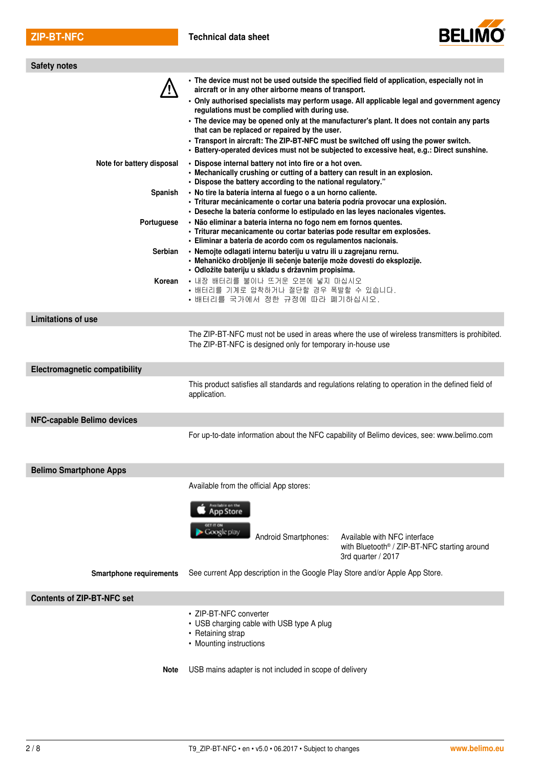

| <b>Safety notes</b>                  |                                                                                                                                                                                                                                                                                                                                                |                                                                                                                                                                                                                                                                                         |
|--------------------------------------|------------------------------------------------------------------------------------------------------------------------------------------------------------------------------------------------------------------------------------------------------------------------------------------------------------------------------------------------|-----------------------------------------------------------------------------------------------------------------------------------------------------------------------------------------------------------------------------------------------------------------------------------------|
|                                      | • The device must not be used outside the specified field of application, especially not in<br>aircraft or in any other airborne means of transport.<br>regulations must be complied with during use.<br>that can be replaced or repaired by the user.<br>• Transport in aircraft: The ZIP-BT-NFC must be switched off using the power switch. | · Only authorised specialists may perform usage. All applicable legal and government agency<br>• The device may be opened only at the manufacturer's plant. It does not contain any parts<br>· Battery-operated devices must not be subjected to excessive heat, e.g.: Direct sunshine. |
| Note for battery disposal            | • Dispose internal battery not into fire or a hot oven.<br>• Mechanically crushing or cutting of a battery can result in an explosion.<br>· Dispose the battery according to the national regulatory."                                                                                                                                         |                                                                                                                                                                                                                                                                                         |
| Spanish                              | · No tire la batería interna al fuego o a un horno caliente.<br>· Triturar mecánicamente o cortar una batería podría provocar una explosión.<br>· Deseche la batería conforme lo estipulado en las leyes nacionales vigentes.                                                                                                                  |                                                                                                                                                                                                                                                                                         |
| Portuguese                           | · Não eliminar a bateria interna no fogo nem em fornos quentes.<br>· Triturar mecanicamente ou cortar baterias pode resultar em explosões.<br>· Eliminar a bateria de acordo com os regulamentos nacionais.                                                                                                                                    |                                                                                                                                                                                                                                                                                         |
| <b>Serbian</b>                       | · Nemojte odlagati internu bateriju u vatru ili u zagrejanu rernu.<br>· Mehaničko drobljenje ili sečenje baterije može dovesti do eksplozije.<br>· Odložite bateriju u skladu s državnim propisima.                                                                                                                                            |                                                                                                                                                                                                                                                                                         |
| Korean                               | • 내장 배터리를 불이나 뜨거운 오븐에 넣지 마십시오<br>• 배터리를 기계로 압착하거나 절단할 경우 폭발할 수 있습니다.<br>• 배터리를 국가에서 정한 규정에 따라 폐기하십시오.                                                                                                                                                                                                                                          |                                                                                                                                                                                                                                                                                         |
| <b>Limitations of use</b>            |                                                                                                                                                                                                                                                                                                                                                |                                                                                                                                                                                                                                                                                         |
|                                      | The ZIP-BT-NFC is designed only for temporary in-house use                                                                                                                                                                                                                                                                                     | The ZIP-BT-NFC must not be used in areas where the use of wireless transmitters is prohibited.                                                                                                                                                                                          |
| <b>Electromagnetic compatibility</b> |                                                                                                                                                                                                                                                                                                                                                |                                                                                                                                                                                                                                                                                         |
|                                      | application.                                                                                                                                                                                                                                                                                                                                   | This product satisfies all standards and regulations relating to operation in the defined field of                                                                                                                                                                                      |
| NFC-capable Belimo devices           |                                                                                                                                                                                                                                                                                                                                                |                                                                                                                                                                                                                                                                                         |
|                                      |                                                                                                                                                                                                                                                                                                                                                | For up-to-date information about the NFC capability of Belimo devices, see: www.belimo.com                                                                                                                                                                                              |
| <b>Belimo Smartphone Apps</b>        |                                                                                                                                                                                                                                                                                                                                                |                                                                                                                                                                                                                                                                                         |
|                                      | Available from the official App stores:                                                                                                                                                                                                                                                                                                        |                                                                                                                                                                                                                                                                                         |
|                                      | Available on the<br><b>App Store</b>                                                                                                                                                                                                                                                                                                           |                                                                                                                                                                                                                                                                                         |
|                                      | Google play<br>Android Smartphones:                                                                                                                                                                                                                                                                                                            | Available with NFC interface<br>with Bluetooth <sup>®</sup> / ZIP-BT-NFC starting around<br>3rd quarter / 2017                                                                                                                                                                          |
| <b>Smartphone requirements</b>       | See current App description in the Google Play Store and/or Apple App Store.                                                                                                                                                                                                                                                                   |                                                                                                                                                                                                                                                                                         |
| <b>Contents of ZIP-BT-NFC set</b>    |                                                                                                                                                                                                                                                                                                                                                |                                                                                                                                                                                                                                                                                         |
|                                      | • ZIP-BT-NFC converter<br>• USB charging cable with USB type A plug<br>• Retaining strap<br>• Mounting instructions                                                                                                                                                                                                                            |                                                                                                                                                                                                                                                                                         |
| <b>Note</b>                          | USB mains adapter is not included in scope of delivery                                                                                                                                                                                                                                                                                         |                                                                                                                                                                                                                                                                                         |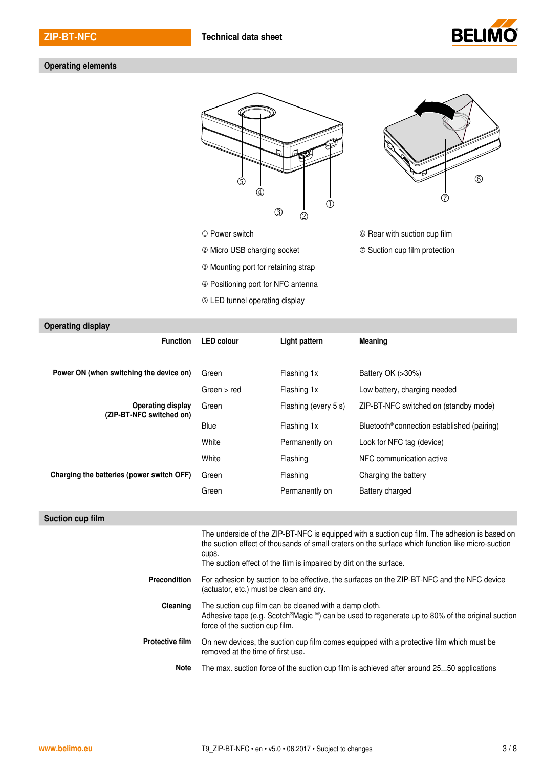

#### Operating elements





- **O Power switch CO Power switch CO Power switch CO Rear with suction cup film**
- $\oslash$  Micro USB charging socket  $\oslash$  Suction cup film protection
- Mounting port for retaining strap
- Positioning port for NFC antenna
- LED tunnel operating display

| <b>Operating display</b>                             |                                                                                                                                                                                                             |                      |                                                         |
|------------------------------------------------------|-------------------------------------------------------------------------------------------------------------------------------------------------------------------------------------------------------------|----------------------|---------------------------------------------------------|
| <b>Function</b>                                      | <b>LED colour</b>                                                                                                                                                                                           | Light pattern        | Meaning                                                 |
|                                                      |                                                                                                                                                                                                             |                      |                                                         |
| Power ON (when switching the device on)              | Green                                                                                                                                                                                                       | Flashing 1x          | Battery OK (>30%)                                       |
|                                                      | Green > red                                                                                                                                                                                                 | Flashing 1x          | Low battery, charging needed                            |
| <b>Operating display</b><br>(ZIP-BT-NFC switched on) | Green                                                                                                                                                                                                       | Flashing (every 5 s) | ZIP-BT-NFC switched on (standby mode)                   |
|                                                      | <b>Blue</b>                                                                                                                                                                                                 | Flashing 1x          | Bluetooth <sup>®</sup> connection established (pairing) |
|                                                      | White                                                                                                                                                                                                       | Permanently on       | Look for NFC tag (device)                               |
|                                                      | White                                                                                                                                                                                                       | Flashing             | NFC communication active                                |
| Charging the batteries (power switch OFF)            | Green                                                                                                                                                                                                       | Flashing             | Charging the battery                                    |
|                                                      | Green                                                                                                                                                                                                       | Permanently on       | Battery charged                                         |
|                                                      |                                                                                                                                                                                                             |                      |                                                         |
| Suction cup film                                     |                                                                                                                                                                                                             |                      |                                                         |
|                                                      | The underside of the ZIP-BT-NFC is equipped with a suction cup film. The adhesion is based on<br>the suction effect of thousands of small craters on the surface which function like micro-suction<br>cups. |                      |                                                         |
|                                                      | The suction effect of the film is impaired by dirt on the surface.                                                                                                                                          |                      |                                                         |
| <b>Precondition</b>                                  | For adhesion by suction to be effective, the surfaces on the ZIP-BT-NFC and the NFC device<br>(actuator, etc.) must be clean and dry.                                                                       |                      |                                                         |
| Cleaning                                             | The suction cup film can be cleaned with a damp cloth.                                                                                                                                                      |                      |                                                         |

- Adhesive tape (e.g. Scotch®Magic™) can be used to regenerate up to 80% of the original suction force of the suction cup film.
- **Protective film** On new devices, the suction cup film comes equipped with a protective film which must be removed at the time of first use.
	- **Note** The max. suction force of the suction cup film is achieved after around 25...50 applications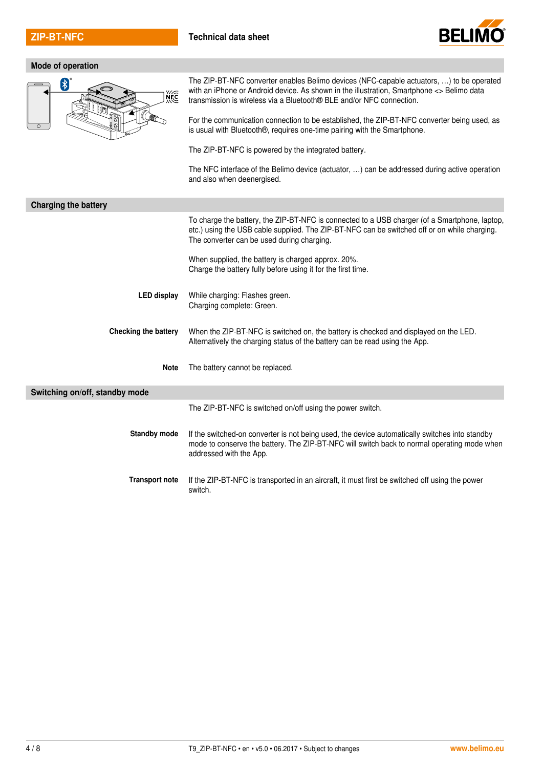

## **Mode of operation**



The ZIP-BT-NFC converter enables Belimo devices (NFC-capable actuators, …) to be operated with an iPhone or Android device. As shown in the illustration, Smartphone <> Belimo data transmission is wireless via a Bluetooth® BLE and/or NFC connection.

For the communication connection to be established, the ZIP-BT-NFC converter being used, as is usual with Bluetooth®, requires one-time pairing with the Smartphone.

The ZIP-BT-NFC is powered by the integrated battery.

The NFC interface of the Belimo device (actuator, …) can be addressed during active operation and also when deenergised.

| <b>Charging the battery</b>    |                                                                                                                                                                                                                                             |  |
|--------------------------------|---------------------------------------------------------------------------------------------------------------------------------------------------------------------------------------------------------------------------------------------|--|
|                                | To charge the battery, the ZIP-BT-NFC is connected to a USB charger (of a Smartphone, laptop,<br>etc.) using the USB cable supplied. The ZIP-BT-NFC can be switched off or on while charging.<br>The converter can be used during charging. |  |
|                                | When supplied, the battery is charged approx. 20%.<br>Charge the battery fully before using it for the first time.                                                                                                                          |  |
| LED display                    | While charging: Flashes green.<br>Charging complete: Green.                                                                                                                                                                                 |  |
| Checking the battery           | When the ZIP-BT-NFC is switched on, the battery is checked and displayed on the LED.<br>Alternatively the charging status of the battery can be read using the App.                                                                         |  |
| <b>Note</b>                    | The battery cannot be replaced.                                                                                                                                                                                                             |  |
| Switching on/off, standby mode |                                                                                                                                                                                                                                             |  |
|                                | The ZIP-BT-NFC is switched on/off using the power switch.                                                                                                                                                                                   |  |
| <b>Standby mode</b>            | If the switched-on converter is not being used, the device automatically switches into standby<br>mode to conserve the battery. The ZIP-BT-NFC will switch back to normal operating mode when<br>addressed with the App.                    |  |
| <b>Transport note</b>          | If the ZIP-BT-NFC is transported in an aircraft, it must first be switched off using the power<br>switch.                                                                                                                                   |  |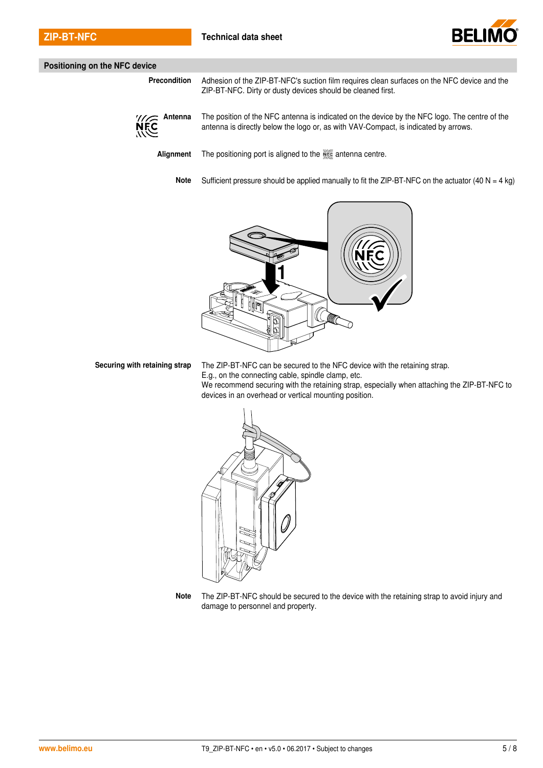

#### **Positioning on the NFC device**

**Precondition** Adhesion of the ZIP-BT-NFC's suction film requires clean surfaces on the NFC device and the ZIP-BT-NFC. Dirty or dusty devices should be cleaned first.



**Antenna** The position of the NFC antenna is indicated on the device by the NFC logo. The centre of the antenna is directly below the logo or, as with VAV-Compact, is indicated by arrows.

Alignment The positioning port is aligned to the **Alignment** Centre.

**Note** Sufficient pressure should be applied manually to fit the ZIP-BT-NFC on the actuator (40 N = 4 kg)



**Securing with retaining strap** The ZIP-BT-NFC can be secured to the NFC device with the retaining strap. E.g., on the connecting cable, spindle clamp, etc. We recommend securing with the retaining strap, especially when attaching the ZIP-BT-NFC to devices in an overhead or vertical mounting position.



**Note** The ZIP-BT-NFC should be secured to the device with the retaining strap to avoid injury and damage to personnel and property.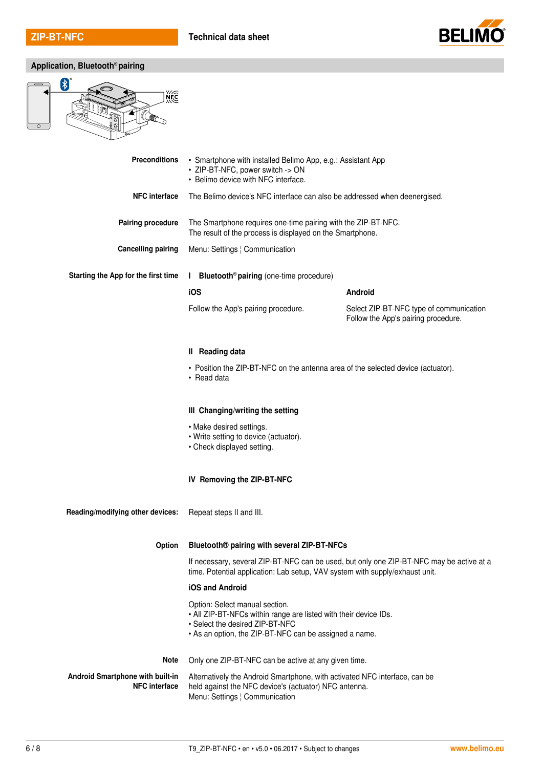

**Application, Bluetooth**® **pairing**



| <b>Preconditions</b>                                     | • Smartphone with installed Belimo App, e.g.: Assistant App<br>· ZIP-BT-NFC, power switch -> ON<br>• Belimo device with NFC interface.                                                          |                                                                                |
|----------------------------------------------------------|-------------------------------------------------------------------------------------------------------------------------------------------------------------------------------------------------|--------------------------------------------------------------------------------|
| <b>NFC</b> interface                                     | The Belimo device's NFC interface can also be addressed when deenergised.                                                                                                                       |                                                                                |
| <b>Pairing procedure</b>                                 | The Smartphone requires one-time pairing with the ZIP-BT-NFC.<br>The result of the process is displayed on the Smartphone.                                                                      |                                                                                |
| <b>Cancelling pairing</b>                                | Menu: Settings   Communication                                                                                                                                                                  |                                                                                |
| Starting the App for the first time                      | Bluetooth <sup>®</sup> pairing (one-time procedure)<br>$\mathbf{L}$                                                                                                                             |                                                                                |
|                                                          | iOS                                                                                                                                                                                             | Android                                                                        |
|                                                          | Follow the App's pairing procedure.                                                                                                                                                             | Select ZIP-BT-NFC type of communication<br>Follow the App's pairing procedure. |
|                                                          | <b>II</b> Reading data                                                                                                                                                                          |                                                                                |
|                                                          | • Position the ZIP-BT-NFC on the antenna area of the selected device (actuator).<br>• Read data                                                                                                 |                                                                                |
|                                                          | III Changing/writing the setting                                                                                                                                                                |                                                                                |
|                                                          | • Make desired settings.<br>• Write setting to device (actuator).<br>• Check displayed setting.                                                                                                 |                                                                                |
|                                                          | IV Removing the ZIP-BT-NFC                                                                                                                                                                      |                                                                                |
| Reading/modifying other devices:                         | Repeat steps II and III.                                                                                                                                                                        |                                                                                |
| Option                                                   | Bluetooth® pairing with several ZIP-BT-NFCs                                                                                                                                                     |                                                                                |
|                                                          | If necessary, several ZIP-BT-NFC can be used, but only one ZIP-BT-NFC may be active at a<br>time. Potential application: Lab setup, VAV system with supply/exhaust unit.                        |                                                                                |
|                                                          | iOS and Android                                                                                                                                                                                 |                                                                                |
|                                                          | Option: Select manual section.<br>• All ZIP-BT-NFCs within range are listed with their device IDs.<br>• Select the desired ZIP-BT-NFC<br>• As an option, the ZIP-BT-NFC can be assigned a name. |                                                                                |
| <b>Note</b>                                              | Only one ZIP-BT-NFC can be active at any given time.                                                                                                                                            |                                                                                |
| Android Smartphone with built-in<br><b>NFC interface</b> | Alternatively the Android Smartphone, with activated NFC interface, can be<br>held against the NFC device's (actuator) NFC antenna.<br>Menu: Settings   Communication                           |                                                                                |
|                                                          |                                                                                                                                                                                                 |                                                                                |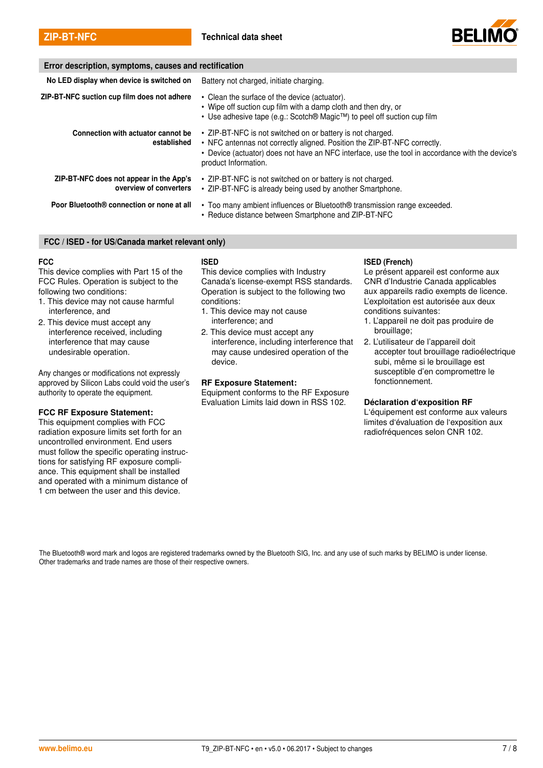

| Error description, symptoms, causes and rectification             |                                                                                                                                                                                                                                                                    |  |
|-------------------------------------------------------------------|--------------------------------------------------------------------------------------------------------------------------------------------------------------------------------------------------------------------------------------------------------------------|--|
| No LED display when device is switched on                         | Battery not charged, initiate charging.                                                                                                                                                                                                                            |  |
| ZIP-BT-NFC suction cup film does not adhere                       | • Clean the surface of the device (actuator).<br>• Wipe off suction cup film with a damp cloth and then dry, or<br>• Use adhesive tape (e.g.: Scotch® Magic <sup>™</sup> ) to peel off suction cup film                                                            |  |
| Connection with actuator cannot be<br>established                 | • ZIP-BT-NFC is not switched on or battery is not charged.<br>• NFC antennas not correctly aligned. Position the ZIP-BT-NFC correctly.<br>• Device (actuator) does not have an NFC interface, use the tool in accordance with the device's<br>product Information. |  |
| ZIP-BT-NFC does not appear in the App's<br>overview of converters | • ZIP-BT-NFC is not switched on or battery is not charged.<br>• ZIP-BT-NFC is already being used by another Smartphone.                                                                                                                                            |  |
| Poor Bluetooth® connection or none at all                         | • Too many ambient influences or Bluetooth® transmission range exceeded.<br>• Reduce distance between Smartphone and ZIP-BT-NFC                                                                                                                                    |  |

#### FCC / ISED - for US/Canada market relevant only)

#### **FCC**

This device complies with Part 15 of the FCC Rules. Operation is subject to the following two conditions:

- 1. This device may not cause harmful interference, and
- 2. This device must accept any interference received, including interference that may cause undesirable operation.

Any changes or modifications not expressly approved by Silicon Labs could void the user's authority to operate the equipment.

#### FCC RF Exposure Statement:

This equipment complies with FCC radiation exposure limits set forth for an uncontrolled environment. End users must follow the specific operating instructions for satisfying RF exposure compliance. This equipment shall be installed and operated with a minimum distance of 1 cm between the user and this device.

#### ISED

This device complies with Industry Canada's license-exempt RSS standards. Operation is subject to the following two conditions:

- 1. This device may not cause interference; and
- 2. This device must accept any interference, including interference that may cause undesired operation of the device.

#### RF Exposure Statement:

Equipment conforms to the RF Exposure Evaluation Limits laid down in RSS 102.

#### ISED (French)

Le présent appareil est conforme aux CNR d'Industrie Canada applicables aux appareils radio exempts de licence. L'exploitation est autorisée aux deux conditions suivantes:

- 1. L'appareil ne doit pas produire de brouillage;
- 2. L'utilisateur de l'appareil doit accepter tout brouillage radioélectrique subi, même si le brouillage est susceptible d'en compromettre le fonctionnement.

#### Déclaration d'exposition RF

L'équipement est conforme aux valeurs limites d'évaluation de l'exposition aux radiofréquences selon CNR 102.

The Bluetooth® word mark and logos are registered trademarks owned by the Bluetooth SIG, Inc. and any use of such marks by BELIMO is under license. Other trademarks and trade names are those of their respective owners.